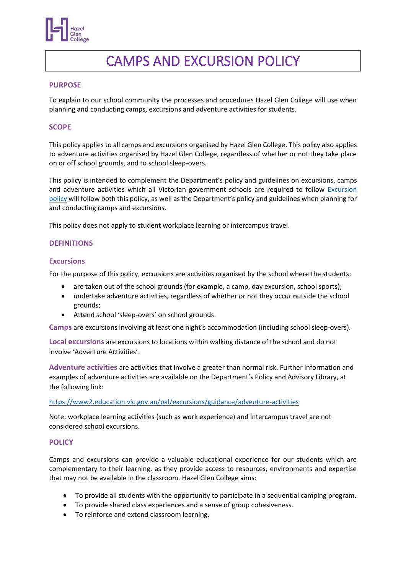

# CAMPS AND EXCURSION POLICY

#### **PURPOSE**

To explain to our school community the processes and procedures Hazel Glen College will use when planning and conducting camps, excursions and adventure activities for students.

#### **SCOPE**

This policy applies to all camps and excursions organised by Hazel Glen College. This policy also applies to adventure activities organised by Hazel Glen College, regardless of whether or not they take place on or off school grounds, and to school sleep-overs.

This policy is intended to complement the Department's policy and guidelines on excursions, camps and adventure activities which all Victorian government schools are required to follow Excursion [policy](https://www2.education.vic.gov.au/pal/excursions/policy) will follow both this policy, as well as the Department's policy and guidelines when planning for and conducting camps and excursions.

This policy does not apply to student workplace learning or intercampus travel.

#### **DEFINITIONS**

#### **Excursions**

For the purpose of this policy, excursions are activities organised by the school where the students:

- are taken out of the school grounds (for example, a camp, day excursion, school sports);
- undertake adventure activities, regardless of whether or not they occur outside the school grounds;
- Attend school 'sleep-overs' on school grounds.

**Camps** are excursions involving at least one night's accommodation (including school sleep-overs).

**Local excursions** are excursions to locations within walking distance of the school and do not involve 'Adventure Activities'.

**Adventure activities** are activities that involve a greater than normal risk. Further information and examples of adventure activities are available on the Department's Policy and Advisory Library, at the following link:

#### <https://www2.education.vic.gov.au/pal/excursions/guidance/adventure-activities>

Note: workplace learning activities (such as work experience) and intercampus travel are not considered school excursions.

## **POLICY**

Camps and excursions can provide a valuable educational experience for our students which are complementary to their learning, as they provide access to resources, environments and expertise that may not be available in the classroom. Hazel Glen College aims:

- To provide all students with the opportunity to participate in a sequential camping program.
- To provide shared class experiences and a sense of group cohesiveness.
- To reinforce and extend classroom learning.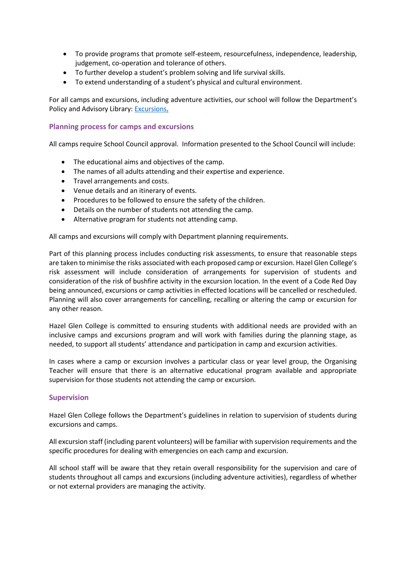- To provide programs that promote self-esteem, resourcefulness, independence, leadership, judgement, co-operation and tolerance of others.
- To further develop a student's problem solving and life survival skills.
- To extend understanding of a student's physical and cultural environment.

For all camps and excursions, including adventure activities, our school will follow the Department's Policy and Advisory Library: [Excursions.](https://www2.education.vic.gov.au/pal/excursions/policy)

# **Planning process for camps and excursions**

All camps require School Council approval. Information presented to the School Council will include:

- The educational aims and objectives of the camp.
- The names of all adults attending and their expertise and experience.
- Travel arrangements and costs.
- Venue details and an itinerary of events.
- Procedures to be followed to ensure the safety of the children.
- Details on the number of students not attending the camp.
- Alternative program for students not attending camp.

All camps and excursions will comply with Department planning requirements.

Part of this planning process includes conducting risk assessments, to ensure that reasonable steps are taken to minimise the risks associated with each proposed camp or excursion. Hazel Glen College's risk assessment will include consideration of arrangements for supervision of students and consideration of the risk of bushfire activity in the excursion location. In the event of a Code Red Day being announced, excursions or camp activities in effected locations will be cancelled or rescheduled. Planning will also cover arrangements for cancelling, recalling or altering the camp or excursion for any other reason.

Hazel Glen College is committed to ensuring students with additional needs are provided with an inclusive camps and excursions program and will work with families during the planning stage, as needed, to support all students' attendance and participation in camp and excursion activities.

In cases where a camp or excursion involves a particular class or year level group, the Organising Teacher will ensure that there is an alternative educational program available and appropriate supervision for those students not attending the camp or excursion.

## **Supervision**

Hazel Glen College follows the Department's guidelines in relation to supervision of students during excursions and camps.

All excursion staff (including parent volunteers) will be familiar with supervision requirements and the specific procedures for dealing with emergencies on each camp and excursion.

All school staff will be aware that they retain overall responsibility for the supervision and care of students throughout all camps and excursions (including adventure activities), regardless of whether or not external providers are managing the activity.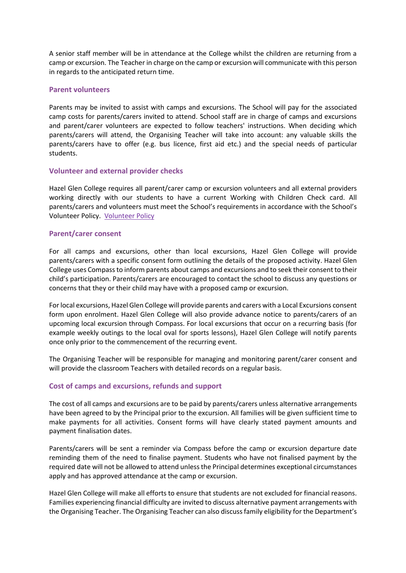A senior staff member will be in attendance at the College whilst the children are returning from a camp or excursion. The Teacher in charge on the camp or excursion will communicate with this person in regards to the anticipated return time.

## **Parent volunteers**

Parents may be invited to assist with camps and excursions. The School will pay for the associated camp costs for parents/carers invited to attend. School staff are in charge of camps and excursions and parent/carer volunteers are expected to follow teachers' instructions. When deciding which parents/carers will attend, the Organising Teacher will take into account: any valuable skills the parents/carers have to offer (e.g. bus licence, first aid etc.) and the special needs of particular students.

## **Volunteer and external provider checks**

Hazel Glen College requires all parent/carer camp or excursion volunteers and all external providers working directly with our students to have a current Working with Children Check card. All parents/carers and volunteers must meet the School's requirements in accordance with the School's Volunteer Policy. [Volunteer Policy](https://www.hgc.vic.edu.au/wp-content/uploads/2021/05/Volunteer-Policy.pdf)

## **Parent/carer consent**

For all camps and excursions, other than local excursions, Hazel Glen College will provide parents/carers with a specific consent form outlining the details of the proposed activity. Hazel Glen College uses Compassto inform parents about camps and excursions and to seek their consent to their child's participation. Parents/carers are encouraged to contact the school to discuss any questions or concerns that they or their child may have with a proposed camp or excursion.

For local excursions, Hazel Glen College will provide parents and carers with a Local Excursions consent form upon enrolment. Hazel Glen College will also provide advance notice to parents/carers of an upcoming local excursion through Compass. For local excursions that occur on a recurring basis (for example weekly outings to the local oval for sports lessons), Hazel Glen College will notify parents once only prior to the commencement of the recurring event.

The Organising Teacher will be responsible for managing and monitoring parent/carer consent and will provide the classroom Teachers with detailed records on a regular basis.

## **Cost of camps and excursions, refunds and support**

The cost of all camps and excursions are to be paid by parents/carers unless alternative arrangements have been agreed to by the Principal prior to the excursion. All families will be given sufficient time to make payments for all activities. Consent forms will have clearly stated payment amounts and payment finalisation dates.

Parents/carers will be sent a reminder via Compass before the camp or excursion departure date reminding them of the need to finalise payment. Students who have not finalised payment by the required date will not be allowed to attend unless the Principal determines exceptional circumstances apply and has approved attendance at the camp or excursion.

Hazel Glen College will make all efforts to ensure that students are not excluded for financial reasons. Families experiencing financial difficulty are invited to discuss alternative payment arrangements with the Organising Teacher. The Organising Teacher can also discuss family eligibility for the Department's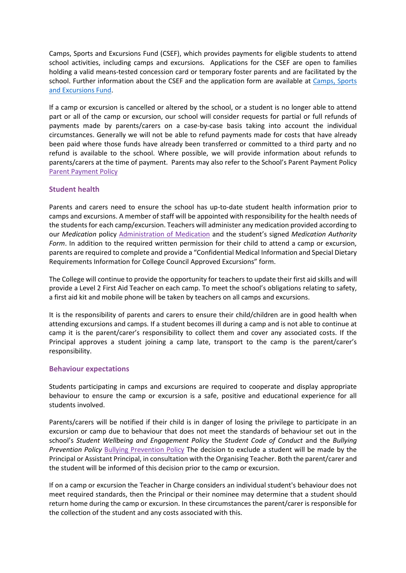Camps, Sports and Excursions Fund (CSEF), which provides payments for eligible students to attend school activities, including camps and excursions. Applications for the CSEF are open to families holding a valid means-tested concession card or temporary foster parents and are facilitated by the school. Further information about the CSEF and the application form are available at [Camps, Sports](https://www2.education.vic.gov.au/pal/camps-sports-and-excursions-fund/policy)  [and Excursions Fund.](https://www2.education.vic.gov.au/pal/camps-sports-and-excursions-fund/policy)

If a camp or excursion is cancelled or altered by the school, or a student is no longer able to attend part or all of the camp or excursion, our school will consider requests for partial or full refunds of payments made by parents/carers on a case-by-case basis taking into account the individual circumstances. Generally we will not be able to refund payments made for costs that have already been paid where those funds have already been transferred or committed to a third party and no refund is available to the school. Where possible, we will provide information about refunds to parents/carers at the time of payment. Parents may also refer to the School's Parent Payment Policy [Parent Payment Policy](https://www2.education.vic.gov.au/pal/parent-payment/policy)

# **Student health**

Parents and carers need to ensure the school has up-to-date student health information prior to camps and excursions. A member of staff will be appointed with responsibility for the health needs of the students for each camp/excursion. Teachers will administer any medication provided according to our *Medication* policy [Administration of Medication](https://www.hgc.vic.edu.au/wp-content/uploads/2021/05/Administration-of-Medication.pdf) and the student's signed *Medication Authority Form*. In addition to the required written permission for their child to attend a camp or excursion, parents are required to complete and provide a "Confidential Medical Information and Special Dietary Requirements Information for College Council Approved Excursions" form.

The College will continue to provide the opportunity for teachers to update their first aid skills and will provide a Level 2 First Aid Teacher on each camp. To meet the school's obligations relating to safety, a first aid kit and mobile phone will be taken by teachers on all camps and excursions.

It is the responsibility of parents and carers to ensure their child/children are in good health when attending excursions and camps. If a student becomes ill during a camp and is not able to continue at camp it is the parent/carer's responsibility to collect them and cover any associated costs. If the Principal approves a student joining a camp late, transport to the camp is the parent/carer's responsibility.

## **Behaviour expectations**

Students participating in camps and excursions are required to cooperate and display appropriate behaviour to ensure the camp or excursion is a safe, positive and educational experience for all students involved.

Parents/carers will be notified if their child is in danger of losing the privilege to participate in an excursion or camp due to behaviour that does not meet the standards of behaviour set out in the school's *Student Wellbeing and Engagement Policy* the *Student Code of Conduct* and the *Bullying Prevention Policy* [Bullying Prevention Policy](https://www.hgc.vic.edu.au/wp-content/uploads/2021/05/Bullying-Prevention-Policy.pdf) The decision to exclude a student will be made by the Principal or Assistant Principal, in consultation with the Organising Teacher. Both the parent/carer and the student will be informed of this decision prior to the camp or excursion.

If on a camp or excursion the Teacher in Charge considers an individual student's behaviour does not meet required standards, then the Principal or their nominee may determine that a student should return home during the camp or excursion. In these circumstances the parent/carer is responsible for the collection of the student and any costs associated with this.